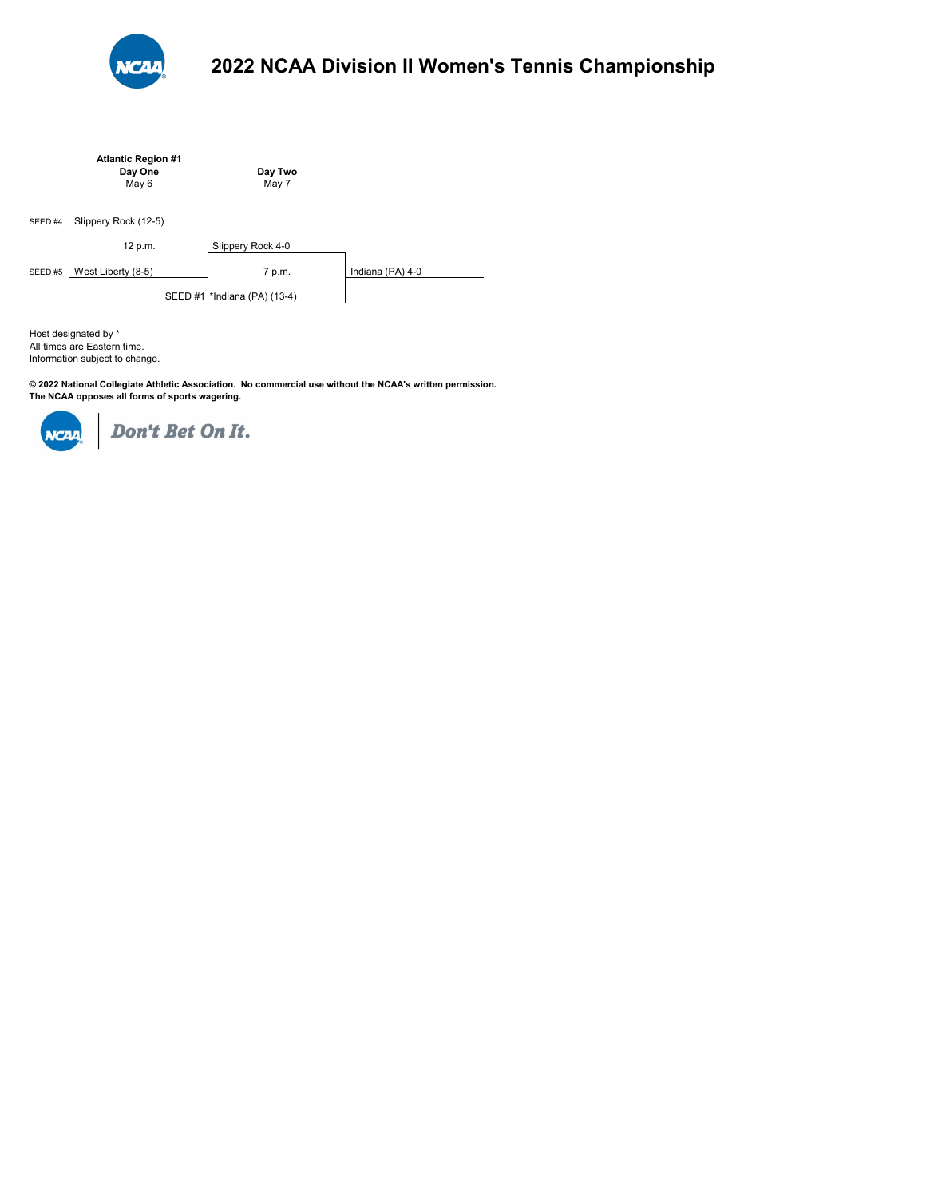

|                    | <b>Atlantic Region #1</b><br>Day One<br>May 6 | Day Two<br>May 7             |                  |
|--------------------|-----------------------------------------------|------------------------------|------------------|
| SEED <sub>#4</sub> | Slippery Rock (12-5)                          |                              |                  |
|                    | 12 p.m.                                       | Slippery Rock 4-0            |                  |
| SEED#5             | West Liberty (8-5)                            | 7 p.m.                       | Indiana (PA) 4-0 |
|                    |                                               | SEED #1 *Indiana (PA) (13-4) |                  |

All times are Eastern time. Information subject to change. Host designated by \*

**© 2022 National Collegiate Athletic Association. No commercial use without the NCAA's written permission. The NCAA opposes all forms of sports wagering.** 

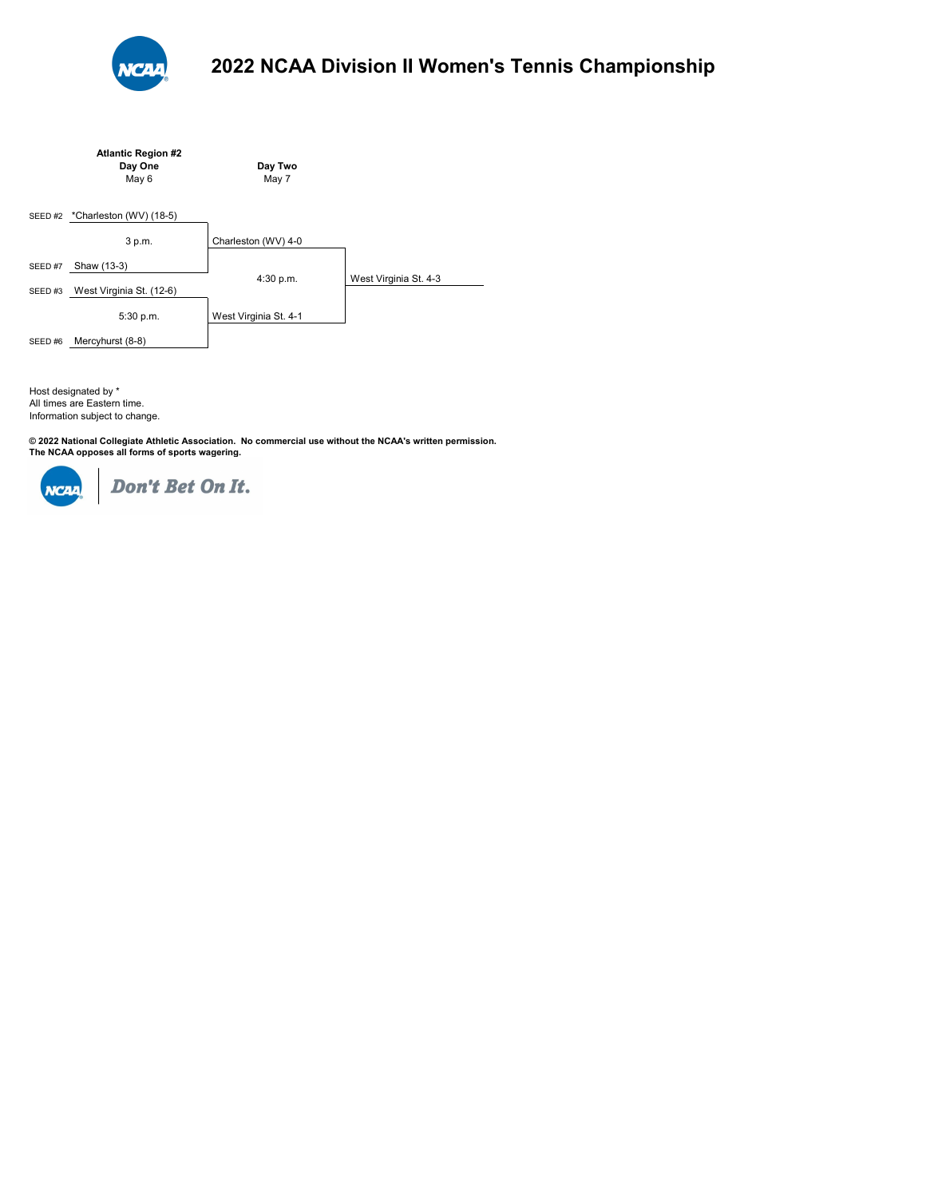

|        | <b>Atlantic Region #2</b> |                       |                       |
|--------|---------------------------|-----------------------|-----------------------|
|        | Day One                   | Day Two               |                       |
|        | May 6                     | May 7                 |                       |
| SEED#2 | *Charleston (WV) (18-5)   |                       |                       |
|        |                           |                       |                       |
|        | 3 p.m.                    | Charleston (WV) 4-0   |                       |
|        |                           |                       |                       |
| SEED#7 | Shaw (13-3)               | 4:30 p.m.             | West Virginia St. 4-3 |
| SEED#3 | West Virginia St. (12-6)  |                       |                       |
|        | 5:30 p.m.                 | West Virginia St. 4-1 |                       |
| SEED#6 | Mercyhurst (8-8)          |                       |                       |

Host designated by \* All times are Eastern time. Information subject to change.

© 2022 National Collegiate Athletic Association. No commercial use without the NCAA's written permission.<br>The NCAA opposes all forms of sports wagering.

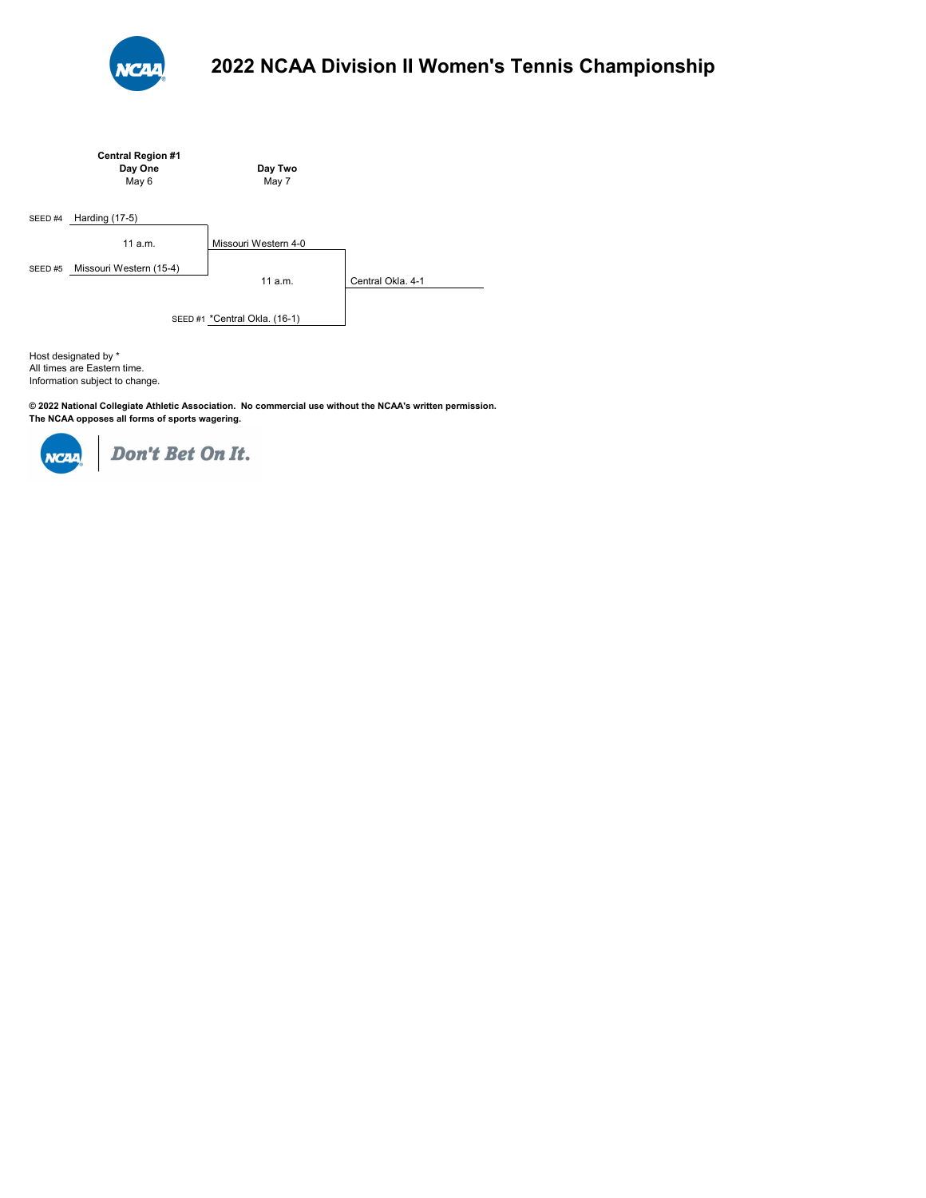

|         | <b>Central Region #1</b><br>Day One<br>May 6 | Day Two<br>May 7              |                   |
|---------|----------------------------------------------|-------------------------------|-------------------|
| SEED #4 | Harding (17-5)                               |                               |                   |
|         | 11a.m.                                       | Missouri Western 4-0          |                   |
| SEED#5  | Missouri Western (15-4)                      | 11a.m.                        | Central Okla, 4-1 |
|         |                                              | SEED #1 *Central Okla. (16-1) |                   |

All times are Eastern time. Information subject to change. Host designated by \*

**© 2022 National Collegiate Athletic Association. No commercial use without the NCAA's written permission. The NCAA opposes all forms of sports wagering.** 

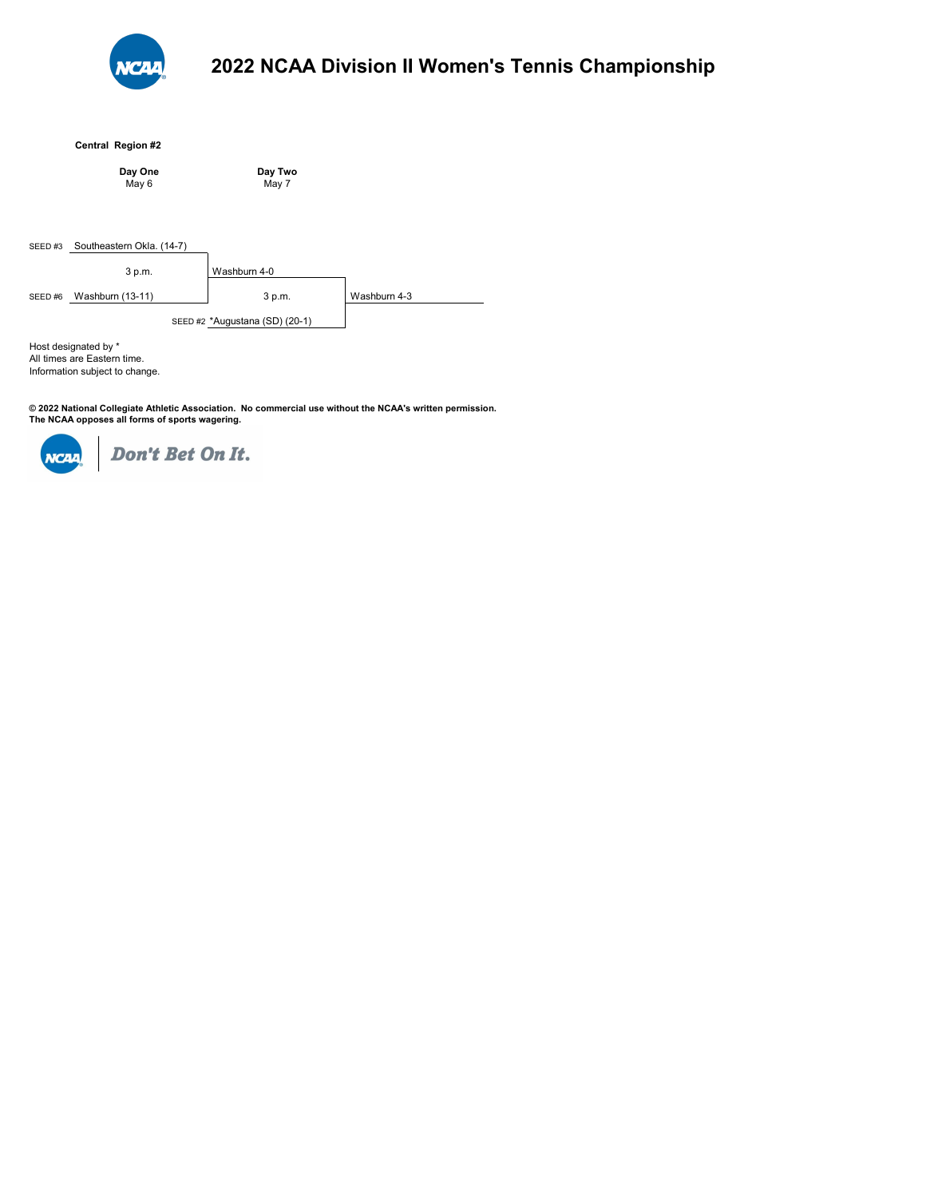

## **Central Region #2**

|        | Day One<br>May 6          | Day Two<br>May 7               |              |
|--------|---------------------------|--------------------------------|--------------|
|        |                           |                                |              |
| SEED#3 | Southeastern Okla. (14-7) |                                |              |
|        | 3 p.m.                    | Washburn 4-0                   |              |
| SEED#6 | Washburn (13-11)          | 3 p.m.                         | Washburn 4-3 |
|        |                           | SEED #2 *Augustana (SD) (20-1) |              |

All times are Eastern time. Information subject to change. Host designated by \*

© 2022 National Collegiate Athletic Association. No commercial use without the NCAA's written permission.<br>The NCAA opposes all forms of sports wagering.

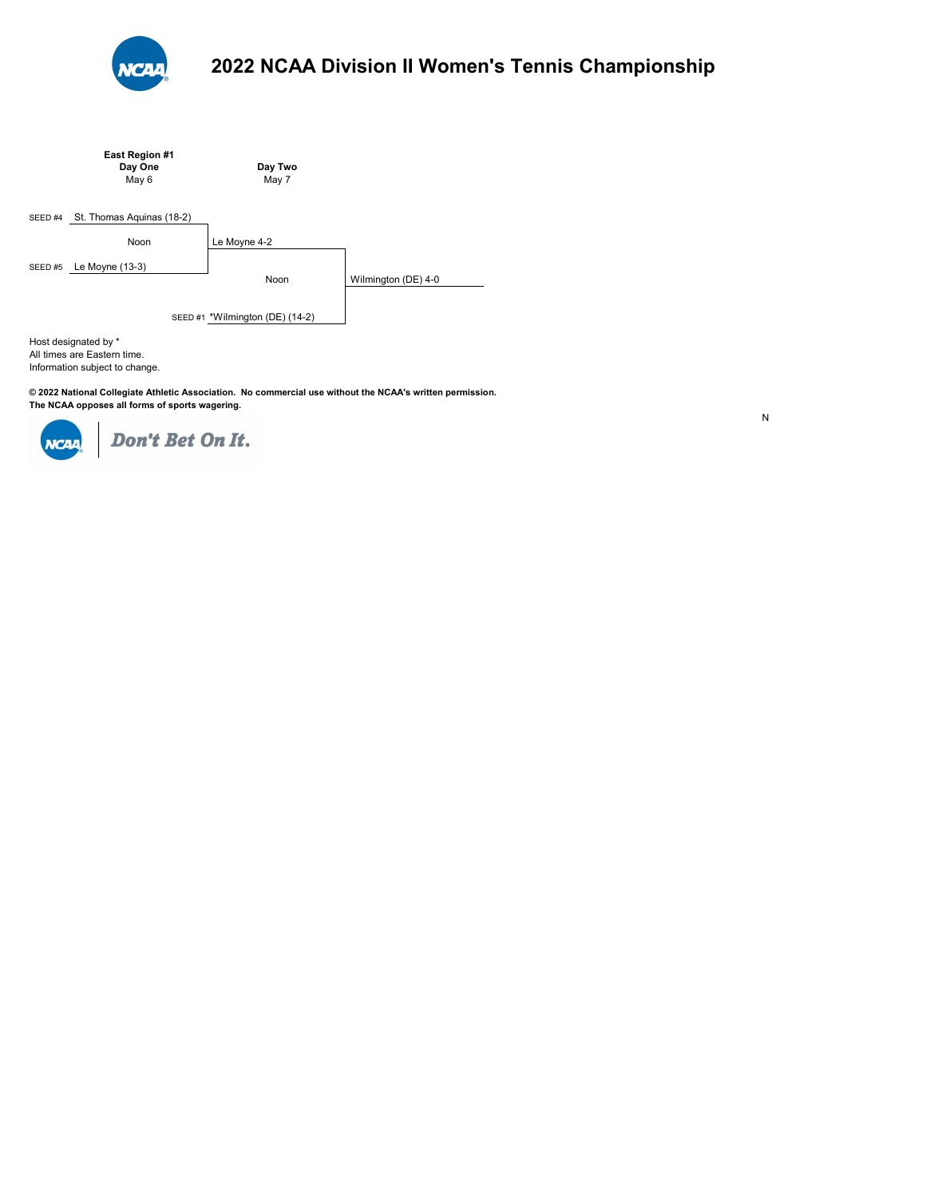

|                                                                                       | East Region #1<br>Day One<br>May 6 | Day Two<br>May 7 |                     |  |
|---------------------------------------------------------------------------------------|------------------------------------|------------------|---------------------|--|
| SEED <sub>#4</sub>                                                                    | St. Thomas Aquinas (18-2)          |                  |                     |  |
|                                                                                       | Noon                               | Le Moyne 4-2     |                     |  |
| SEED#5                                                                                | Le Moyne (13-3)                    | Noon             | Wilmington (DE) 4-0 |  |
| SEED #1 *Wilmington (DE) (14-2)                                                       |                                    |                  |                     |  |
| Host designated by *<br>All times are Eastern time.<br>Information subject to change. |                                    |                  |                     |  |

**© 2022 National Collegiate Athletic Association. No commercial use without the NCAA's written permission. The NCAA opposes all forms of sports wagering.** 



Don't Bet On It.

N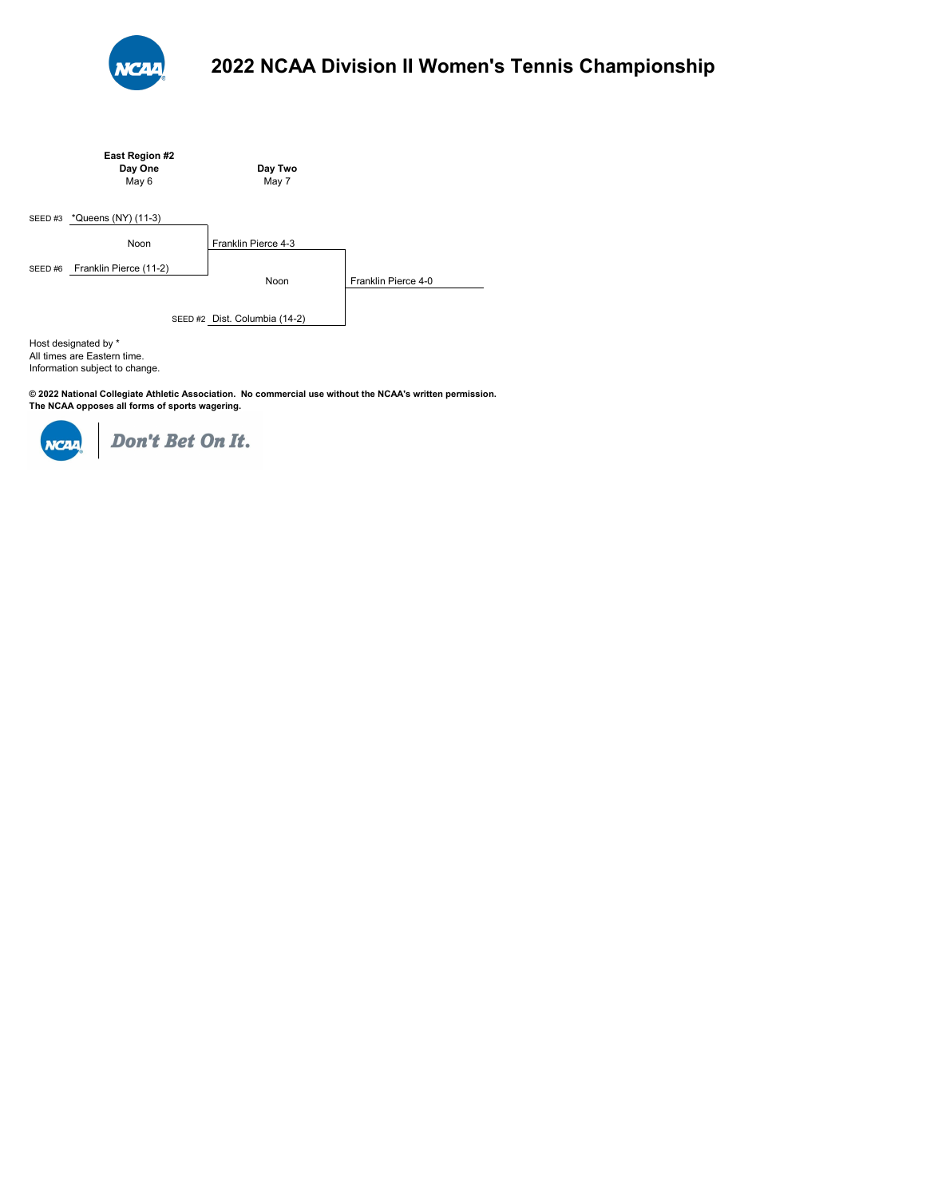

|        | East Region #2<br>Day One<br>May 6 | Day Two<br>May 7              |                     |
|--------|------------------------------------|-------------------------------|---------------------|
| SEED#3 | *Queens (NY) (11-3)                |                               |                     |
|        | Noon                               | Franklin Pierce 4-3           |                     |
| SEED#6 | Franklin Pierce (11-2)             | Noon                          | Franklin Pierce 4-0 |
|        |                                    | SEED #2 Dist. Columbia (14-2) |                     |

All times are Eastern time. Information subject to change. Host designated by \*

**© 2022 National Collegiate Athletic Association. No commercial use without the NCAA's written permission. The NCAA opposes all forms of sports wagering.** 

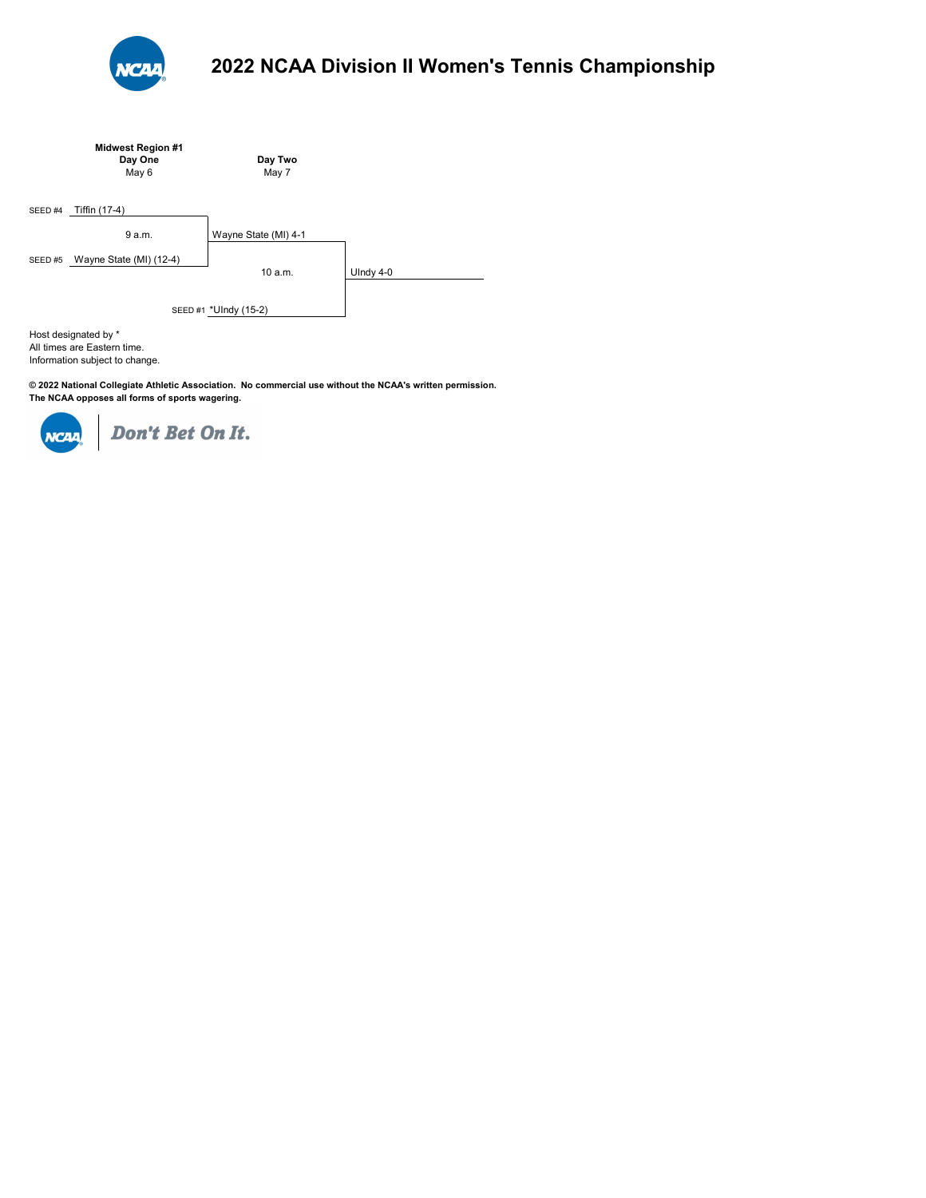

|                       | <b>Midwest Region #1</b><br>Day One<br>May 6 | Day Two<br>May 7     |             |  |
|-----------------------|----------------------------------------------|----------------------|-------------|--|
| SEED #4               | Tiffin (17-4)                                |                      |             |  |
|                       | 9 a.m.                                       | Wayne State (MI) 4-1 |             |  |
| SEED#5                | Wayne State (MI) (12-4)                      | 10a.m.               | UIndy $4-0$ |  |
| SEED #1 *UIndy (15-2) |                                              |                      |             |  |
|                       | Host designated by *                         |                      |             |  |

All times are Eastern time. Information subject to change.

**© 2022 National Collegiate Athletic Association. No commercial use without the NCAA's written permission. The NCAA opposes all forms of sports wagering.** 

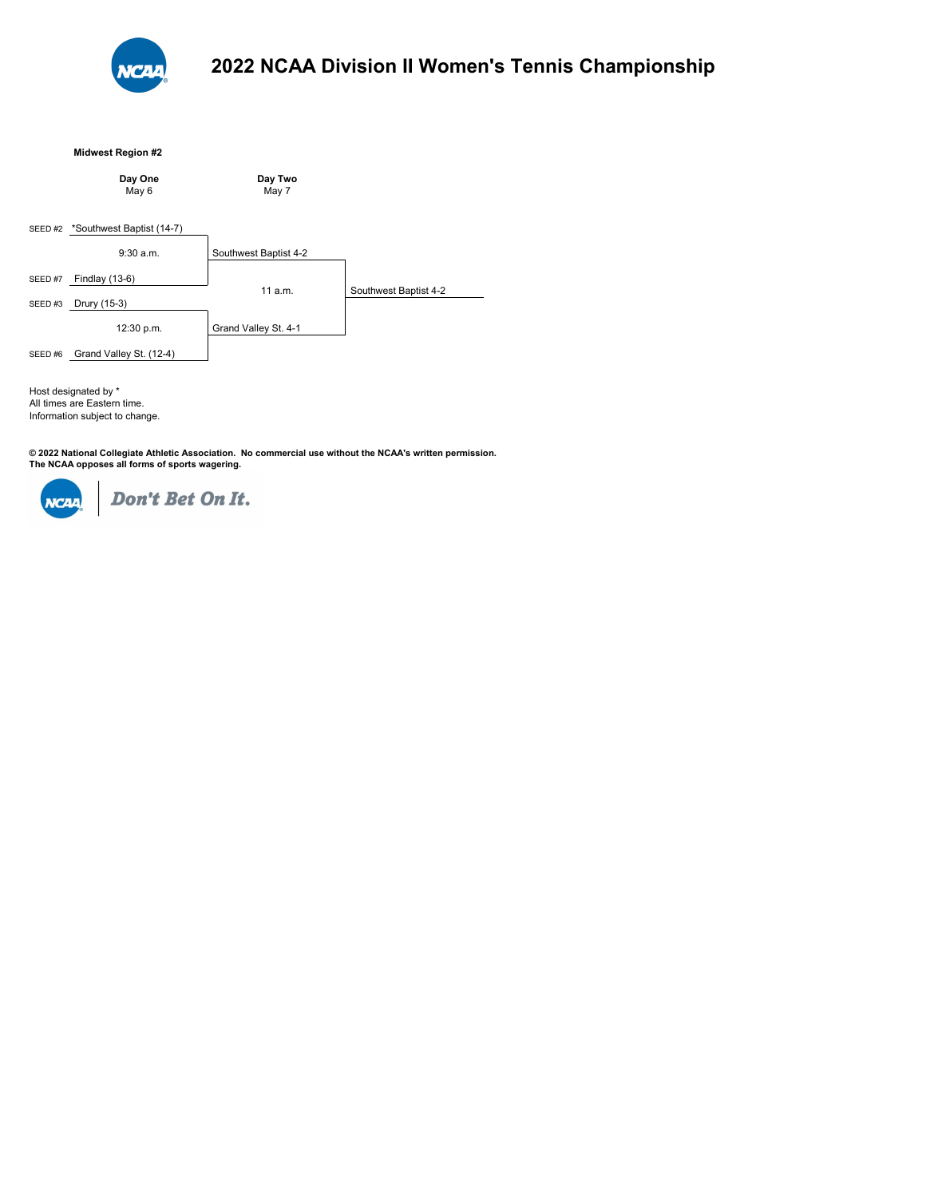

## **Midwest Region #2**

|        | Day One<br>May 6          | Day Two<br>May 7      |                       |
|--------|---------------------------|-----------------------|-----------------------|
| SEED#2 | *Southwest Baptist (14-7) |                       |                       |
|        | 9:30a.m.                  | Southwest Baptist 4-2 |                       |
| SEED#7 | Findlay (13-6)            | 11a.m.                | Southwest Baptist 4-2 |
| SEED#3 | Drury (15-3)              |                       |                       |
|        | 12:30 p.m.                | Grand Valley St. 4-1  |                       |
| SEED#6 | Grand Valley St. (12-4)   |                       |                       |

All times are Eastern time. Information subject to change. Host designated by \*

© 2022 National Collegiate Athletic Association. No commercial use without the NCAA's written permission.<br>The NCAA opposes all forms of sports wagering.

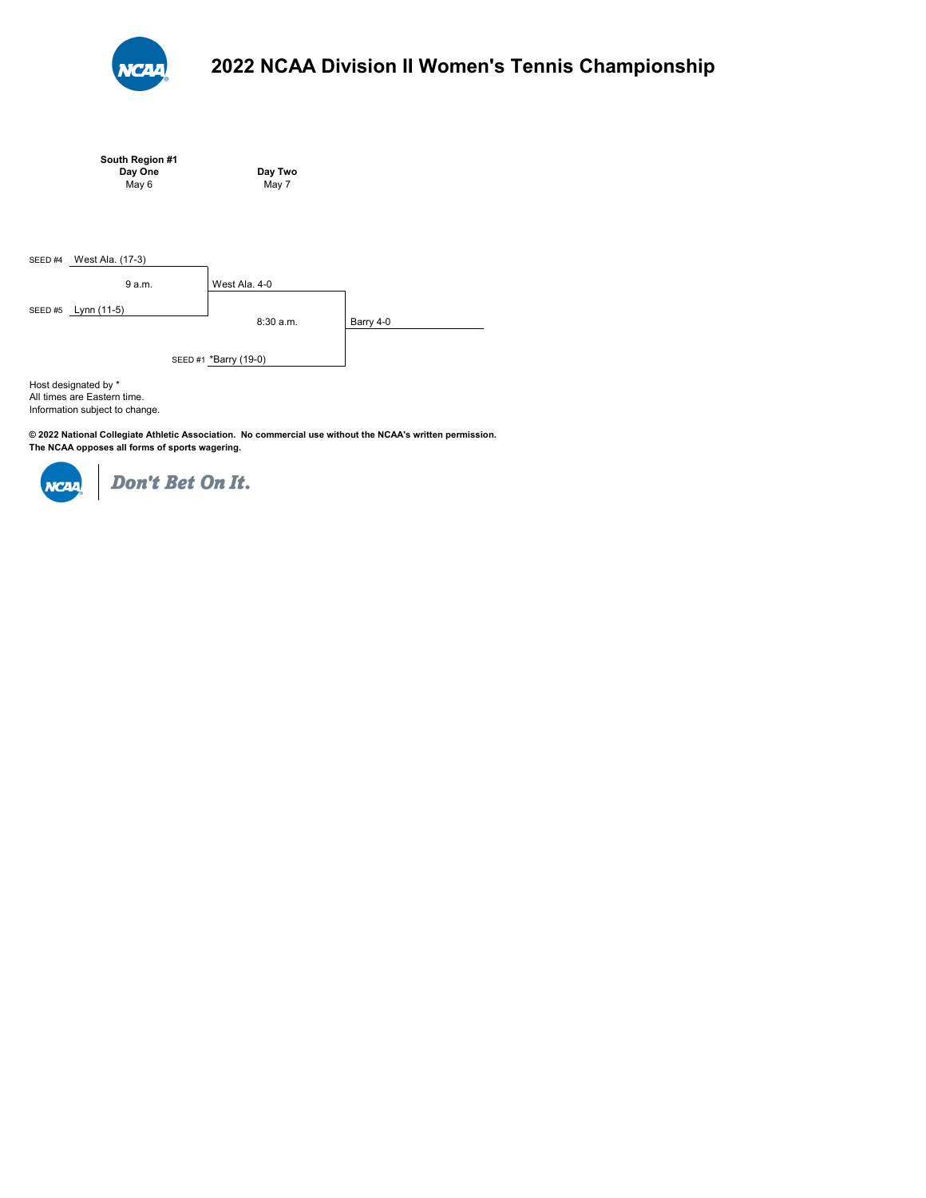

|                   | South Region #1<br>Day One<br>May 6                | Day Two<br>May 7                   |           |
|-------------------|----------------------------------------------------|------------------------------------|-----------|
| SEED #4<br>SEED#5 | West Ala. (17-3)<br>9 a.m.<br>Lynn (11-5)          | West Ala. 4-0                      |           |
|                   | Host designated by *<br>All timos are Eastern timo | 8:30 a.m.<br>SEED #1 *Barry (19-0) | Barry 4-0 |

All times are Eastern time. Information subject to change.

**© 2022 National Collegiate Athletic Association. No commercial use without the NCAA's written permission. The NCAA opposes all forms of sports wagering.** 

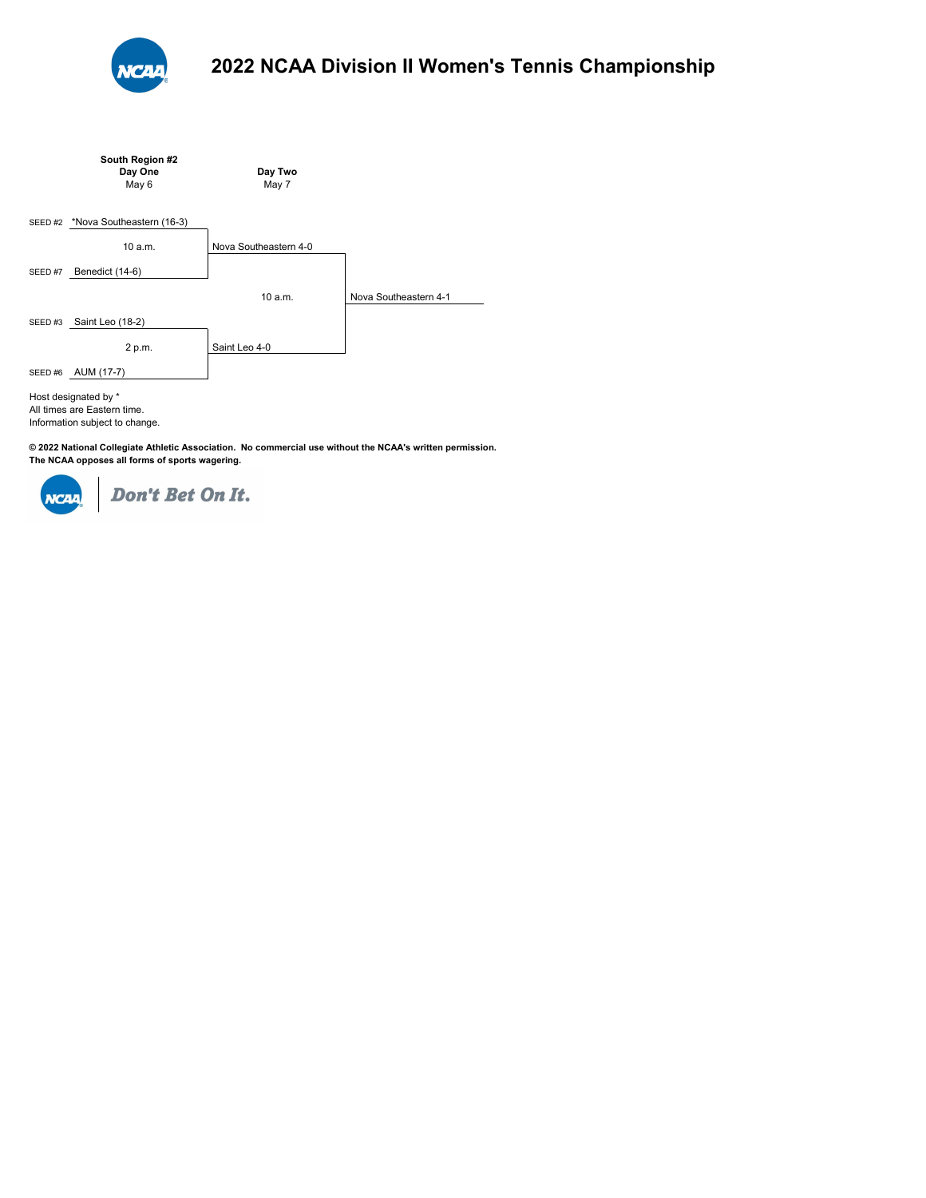

|        | South Region #2<br>Day One<br>May 6                                                   | Day Two<br>May 7      |                       |
|--------|---------------------------------------------------------------------------------------|-----------------------|-----------------------|
| SEED#2 | *Nova Southeastern (16-3)                                                             |                       |                       |
|        | 10 a.m.                                                                               | Nova Southeastern 4-0 |                       |
| SEED#7 | Benedict (14-6)                                                                       |                       |                       |
|        |                                                                                       | 10 a.m.               | Nova Southeastern 4-1 |
| SEED#3 | Saint Leo (18-2)                                                                      |                       |                       |
|        | 2 p.m.                                                                                | Saint Leo 4-0         |                       |
| SEED#6 | AUM (17-7)                                                                            |                       |                       |
|        | Host designated by *<br>All times are Eastern time.<br>Information subject to change. |                       |                       |

**© 2022 National Collegiate Athletic Association. No commercial use without the NCAA's written permission. The NCAA opposes all forms of sports wagering.** 

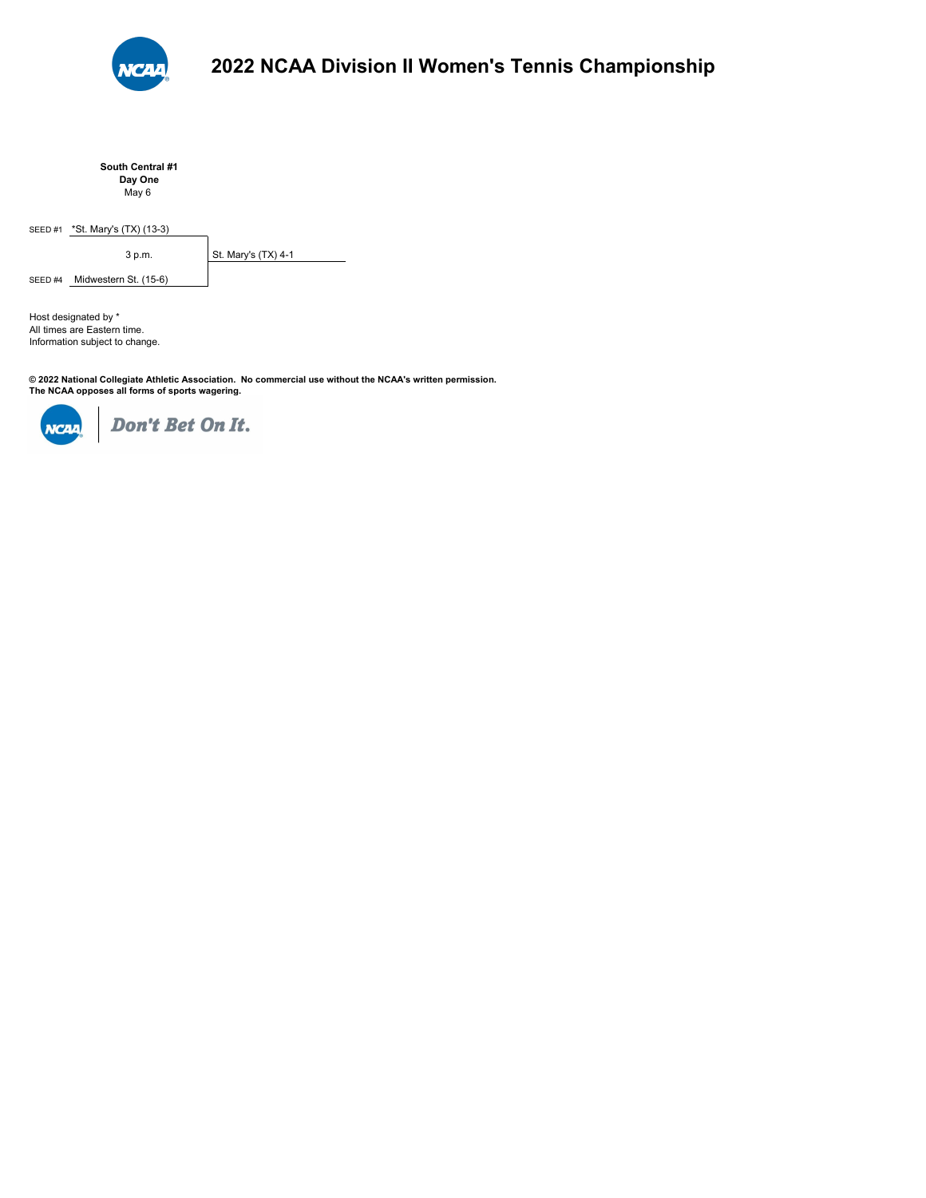

**South Central #1 Day One** May 6

SEED #1 \*St. Mary's (TX) (13-3)

3 p.m. St. Mary's (TX) 4-1

SEED #4 Midwestern St. (15-6)

All times are Eastern time. Information subject to change. Host designated by \*

**© 2022 National Collegiate Athletic Association. No commercial use without the NCAA's written permission. The NCAA opposes all forms of sports wagering.** 

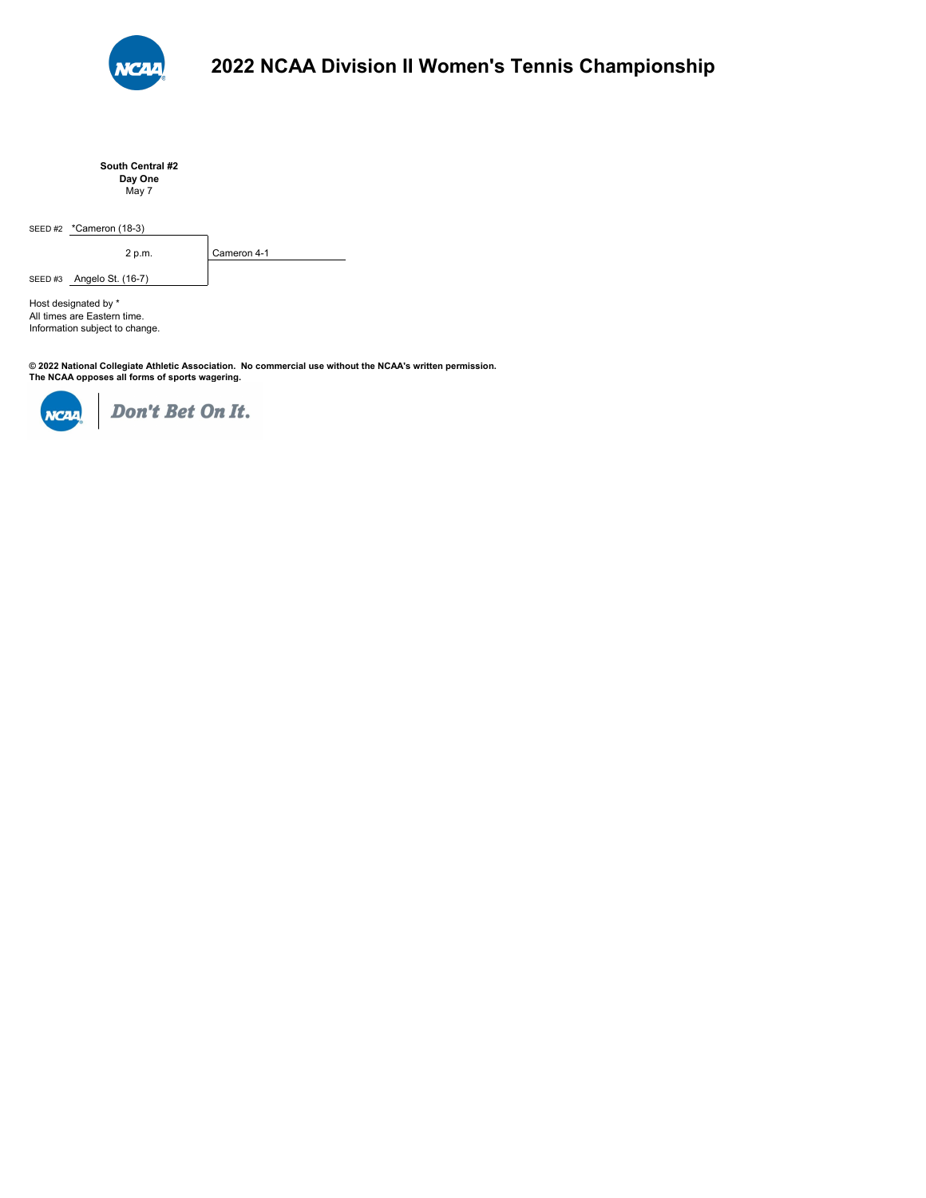

**South Central #2 Day One** May 7

SEED #2 \*Cameron (18-3)

2 p.m. Cameron 4-1

SEED #3 **Angelo St. (16-7)** 

Information subject to change. All times are Eastern time. Host designated by \*

**© 2022 National Collegiate Athletic Association. No commercial use without the NCAA's written permission. The NCAA opposes all forms of sports wagering.** 

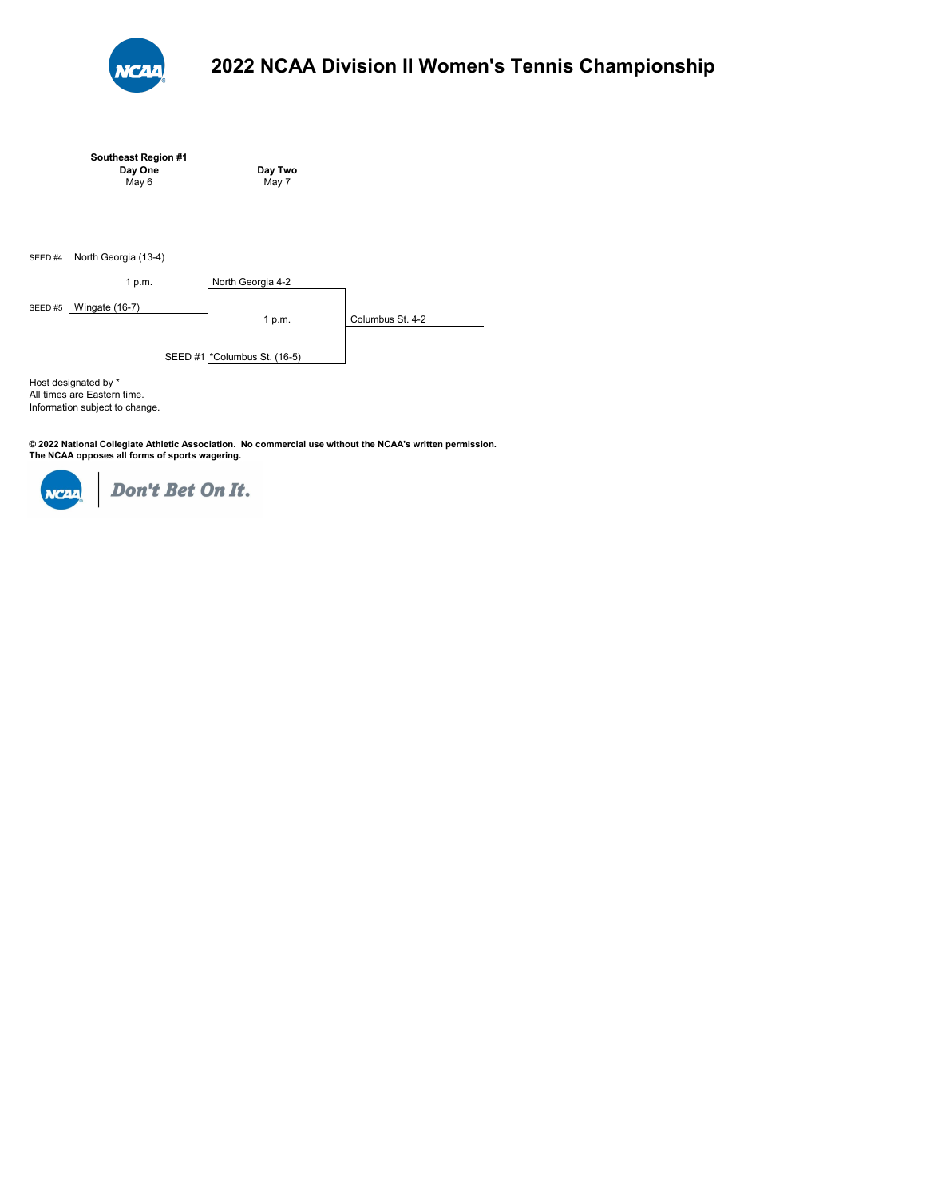

|         | Southeast Region #1                                 |                              |                  |
|---------|-----------------------------------------------------|------------------------------|------------------|
|         | Day One                                             | Day Two                      |                  |
|         | May 6                                               | May 7                        |                  |
|         |                                                     |                              |                  |
| SEED #4 | North Georgia (13-4)                                |                              |                  |
|         | 1 p.m.                                              | North Georgia 4-2            |                  |
| SEED#5  | Wingate (16-7)                                      |                              |                  |
|         |                                                     | 1 p.m.                       | Columbus St. 4-2 |
|         |                                                     | SEED #1 *Columbus St. (16-5) |                  |
|         | Host designated by *<br>All times are Eastern time. |                              |                  |

Information subject to change.

**© 2022 National Collegiate Athletic Association. No commercial use without the NCAA's written permission. The NCAA opposes all forms of sports wagering.** 

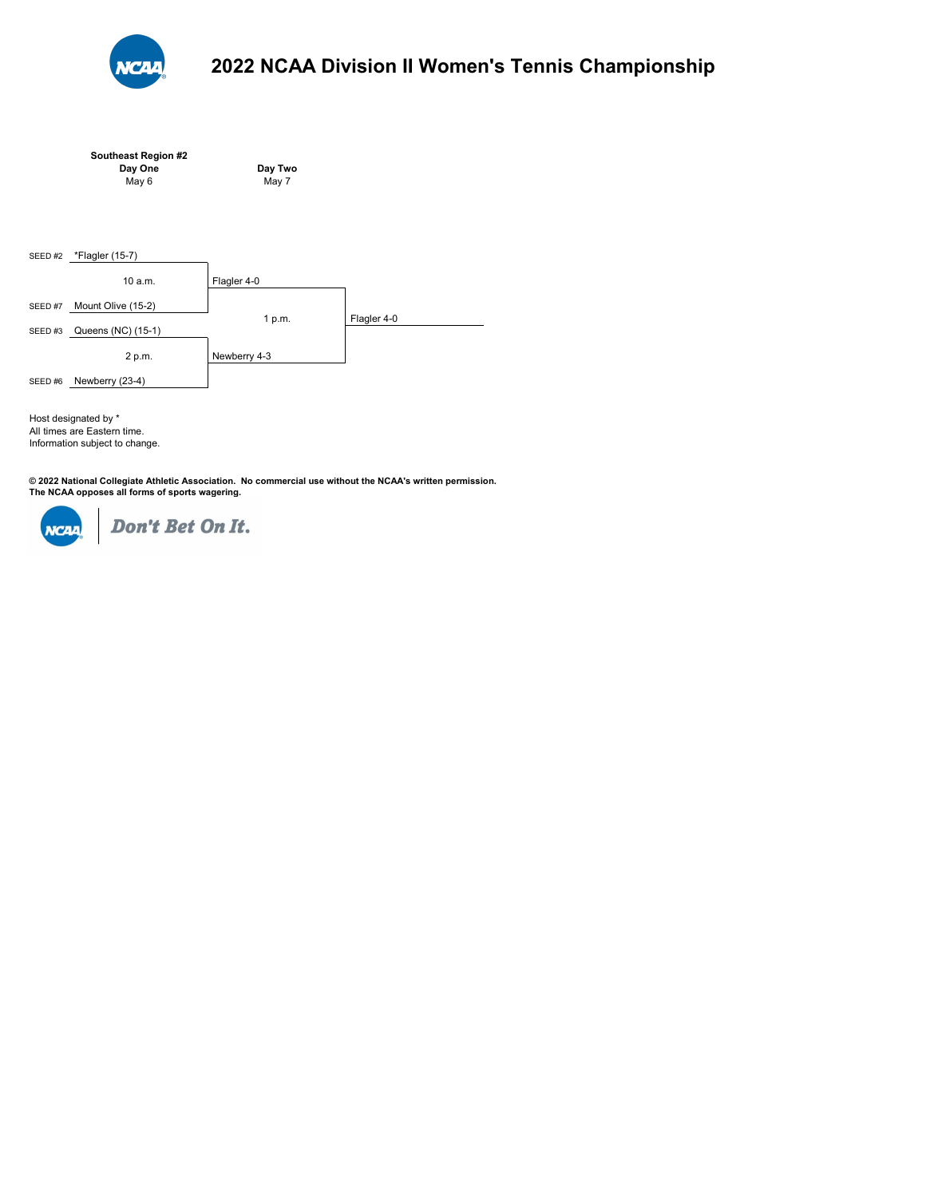

|        | Southeast Region #2<br>Day One<br>May 6 | Day Two<br>May 7 |             |
|--------|-----------------------------------------|------------------|-------------|
| SEED#2 | *Flagler (15-7)<br>10a.m.               | Flagler 4-0      |             |
| SEED#7 | Mount Olive (15-2)                      | 1 p.m.           | Flagler 4-0 |
| SEED#3 | Queens (NC) (15-1)                      |                  |             |

2 p.m. Newberry 4-3 SEED #6 Newberry (23-4)

All times are Eastern time. Information subject to change. Host designated by \*

**© 2022 National Collegiate Athletic Association. No commercial use without the NCAA's written permission. The NCAA opposes all forms of sports wagering.** 

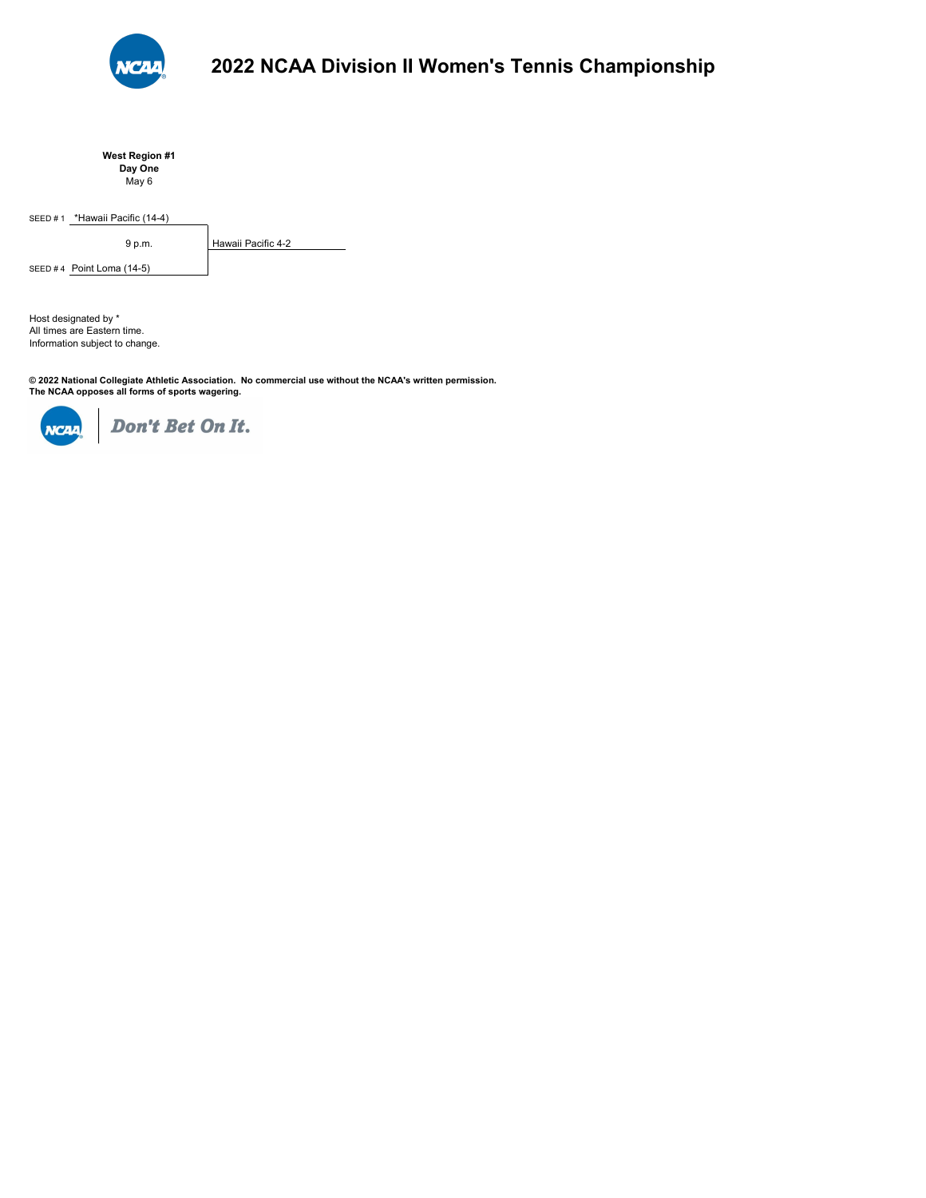

**West Region #1 Day One** May 6

SEED # 1 \*Hawaii Pacific (14-4)

SEED #4 Point Loma (14-5)

9 p.m. Hawaii Pacific 4-2

Information subject to change. All times are Eastern time. Host designated by \*

© 2022 National Collegiate Athletic Association. No commercial use without the NCAA's written permission.<br>The NCAA opposes all forms of sports wagering.